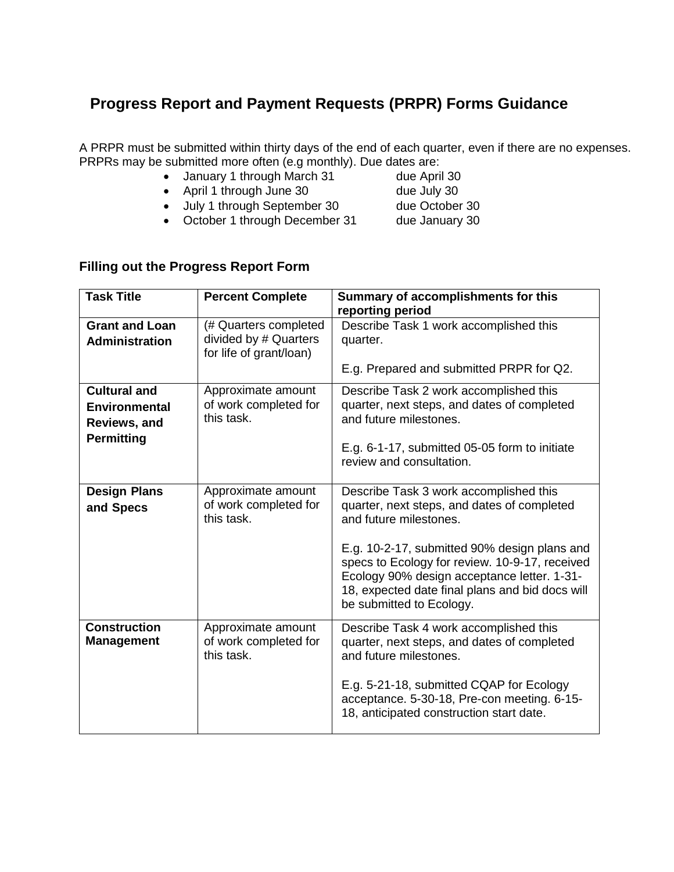# **Progress Report and Payment Requests (PRPR) Forms Guidance**

A PRPR must be submitted within thirty days of the end of each quarter, even if there are no expenses. PRPRs may be submitted more often (e.g monthly). Due dates are:

- January 1 through March 31 due April 30
- April 1 through June 30 due July 30
- 
- July 1 through September 30 due October 30
	-
- October 1 through December 31 due January 30

# **Filling out the Progress Report Form**

| <b>Task Title</b>                                                         | <b>Percent Complete</b>                                                   | Summary of accomplishments for this<br>reporting period                                                                                                                                                                                                                                                                                         |
|---------------------------------------------------------------------------|---------------------------------------------------------------------------|-------------------------------------------------------------------------------------------------------------------------------------------------------------------------------------------------------------------------------------------------------------------------------------------------------------------------------------------------|
| <b>Grant and Loan</b><br>Administration                                   | (# Quarters completed<br>divided by # Quarters<br>for life of grant/loan) | Describe Task 1 work accomplished this<br>quarter.                                                                                                                                                                                                                                                                                              |
|                                                                           |                                                                           | E.g. Prepared and submitted PRPR for Q2.                                                                                                                                                                                                                                                                                                        |
| <b>Cultural and</b><br>Environmental<br>Reviews, and<br><b>Permitting</b> | Approximate amount<br>of work completed for<br>this task.                 | Describe Task 2 work accomplished this<br>quarter, next steps, and dates of completed<br>and future milestones.<br>E.g. 6-1-17, submitted 05-05 form to initiate<br>review and consultation.                                                                                                                                                    |
| <b>Design Plans</b><br>and Specs                                          | Approximate amount<br>of work completed for<br>this task.                 | Describe Task 3 work accomplished this<br>quarter, next steps, and dates of completed<br>and future milestones.<br>E.g. 10-2-17, submitted 90% design plans and<br>specs to Ecology for review. 10-9-17, received<br>Ecology 90% design acceptance letter. 1-31-<br>18, expected date final plans and bid docs will<br>be submitted to Ecology. |
| <b>Construction</b><br><b>Management</b>                                  | Approximate amount<br>of work completed for<br>this task.                 | Describe Task 4 work accomplished this<br>quarter, next steps, and dates of completed<br>and future milestones.<br>E.g. 5-21-18, submitted CQAP for Ecology<br>acceptance. 5-30-18, Pre-con meeting. 6-15-<br>18, anticipated construction start date.                                                                                          |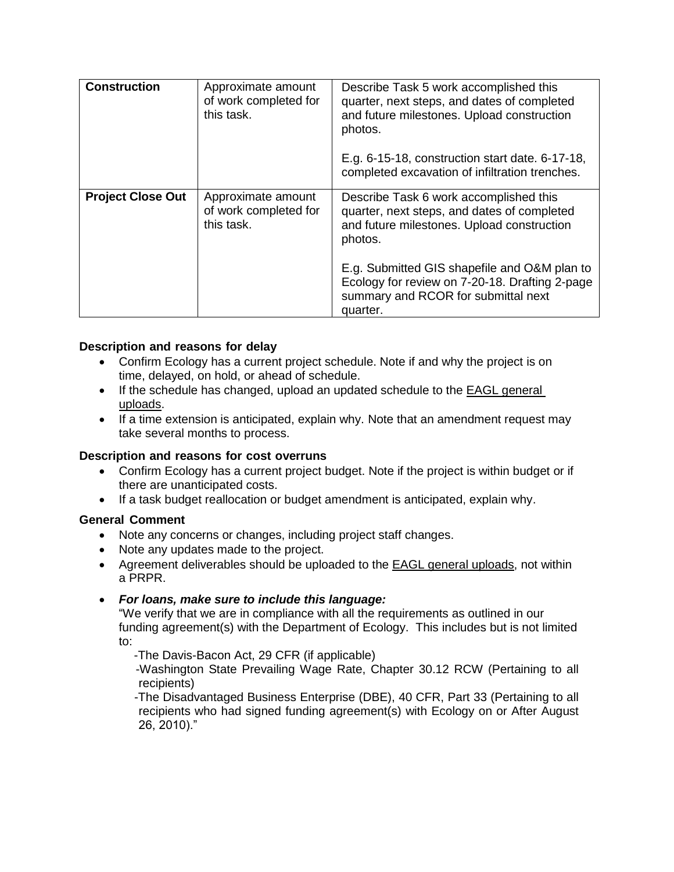| <b>Construction</b>      | Approximate amount<br>of work completed for<br>this task. | Describe Task 5 work accomplished this<br>quarter, next steps, and dates of completed<br>and future milestones. Upload construction<br>photos.<br>E.g. 6-15-18, construction start date. 6-17-18,<br>completed excavation of infiltration trenches.                                                 |
|--------------------------|-----------------------------------------------------------|-----------------------------------------------------------------------------------------------------------------------------------------------------------------------------------------------------------------------------------------------------------------------------------------------------|
| <b>Project Close Out</b> | Approximate amount<br>of work completed for<br>this task. | Describe Task 6 work accomplished this<br>quarter, next steps, and dates of completed<br>and future milestones. Upload construction<br>photos.<br>E.g. Submitted GIS shapefile and O&M plan to<br>Ecology for review on 7-20-18. Drafting 2-page<br>summary and RCOR for submittal next<br>quarter. |

## **Description and reasons for delay**

- Confirm Ecology has a current project schedule. Note if and why the project is on time, delayed, on hold, or ahead of schedule.
- If the schedule has changed, upload an updated schedule to the EAGL general uploads.
- If a time extension is anticipated, explain why. Note that an amendment request may take several months to process.

## **Description and reasons for cost overruns**

- Confirm Ecology has a current project budget. Note if the project is within budget or if there are unanticipated costs.
- If a task budget reallocation or budget amendment is anticipated, explain why.

## **General Comment**

- Note any concerns or changes, including project staff changes.
- Note any updates made to the project.
- Agreement deliverables should be uploaded to the EAGL general uploads, not within a PRPR.

## *For loans, make sure to include this language:*

"We verify that we are in compliance with all the requirements as outlined in our funding agreement(s) with the Department of Ecology. This includes but is not limited to:

-The Davis-Bacon Act, 29 CFR (if applicable)

 -Washington State Prevailing Wage Rate, Chapter 30.12 RCW (Pertaining to all recipients)

 -The Disadvantaged Business Enterprise (DBE), 40 CFR, Part 33 (Pertaining to all recipients who had signed funding agreement(s) with Ecology on or After August 26, 2010)."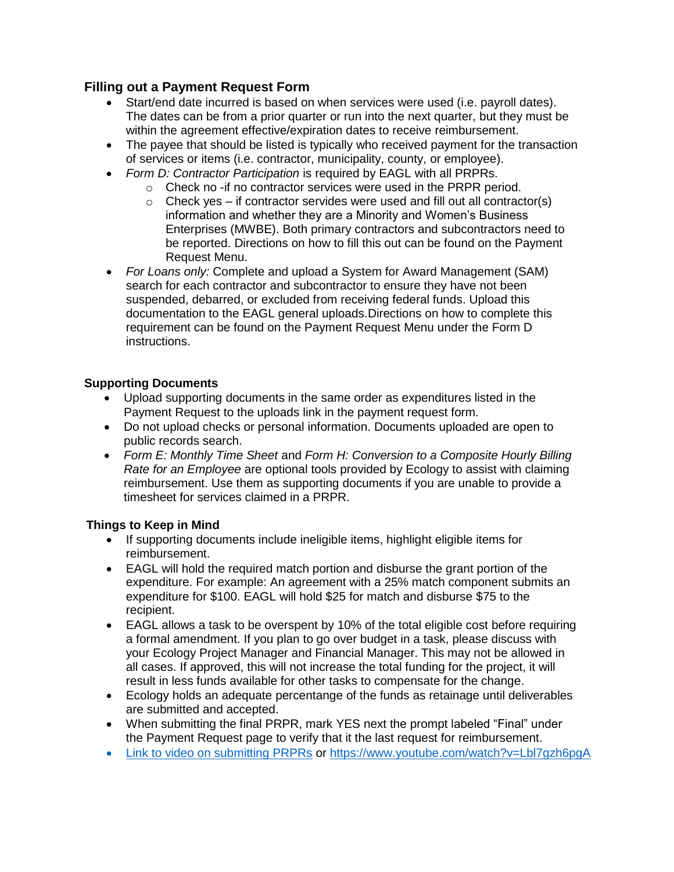# **Filling out a Payment Request Form**

- Start/end date incurred is based on when services were used (i.e. payroll dates). The dates can be from a prior quarter or run into the next quarter, but they must be within the agreement effective/expiration dates to receive reimbursement.
- The payee that should be listed is typically who received payment for the transaction of services or items (i.e. contractor, municipality, county, or employee).
- *Form D: Contractor Participation* is required by EAGL with all PRPRs.
	- o Check no -if no contractor services were used in the PRPR period.
	- $\circ$  Check yes if contractor servides were used and fill out all contractor(s) information and whether they are a Minority and Women's Business Enterprises (MWBE). Both primary contractors and subcontractors need to be reported. Directions on how to fill this out can be found on the Payment Request Menu.
- *For Loans only:* Complete and upload a System for Award Management (SAM) search for each contractor and subcontractor to ensure they have not been suspended, debarred, or excluded from receiving federal funds. Upload this documentation to the EAGL general uploads.Directions on how to complete this requirement can be found on the Payment Request Menu under the Form D instructions.

# **Supporting Documents**

- Upload supporting documents in the same order as expenditures listed in the Payment Request to the uploads link in the payment request form.
- Do not upload checks or personal information. Documents uploaded are open to public records search.
- *Form E: Monthly Time Sheet* and *Form H: Conversion to a Composite Hourly Billing Rate for an Employee* are optional tools provided by Ecology to assist with claiming reimbursement. Use them as supporting documents if you are unable to provide a timesheet for services claimed in a PRPR.

# **Things to Keep in Mind**

- If supporting documents include ineligible items, highlight eligible items for reimbursement.
- EAGL will hold the required match portion and disburse the grant portion of the expenditure. For example: An agreement with a 25% match component submits an expenditure for \$100. EAGL will hold \$25 for match and disburse \$75 to the recipient.
- EAGL allows a task to be overspent by 10% of the total eligible cost before requiring a formal amendment. If you plan to go over budget in a task, please discuss with your Ecology Project Manager and Financial Manager. This may not be allowed in all cases. If approved, this will not increase the total funding for the project, it will result in less funds available for other tasks to compensate for the change.
- Ecology holds an adequate percentange of the funds as retainage until deliverables are submitted and accepted.
- When submitting the final PRPR, mark YES next the prompt labeled "Final" under the Payment Request page to verify that it the last request for reimbursement.
- [Link to video on submitting PRPRs](file:///C:/Users/msno461/AppData/Local/Microsoft/Windows/INetCache/Content.Outlook/XR4IGSYI/Link%20to%20video%20on%20submitting%20PRPRs) or<https://www.youtube.com/watch?v=Lbl7gzh6pgA>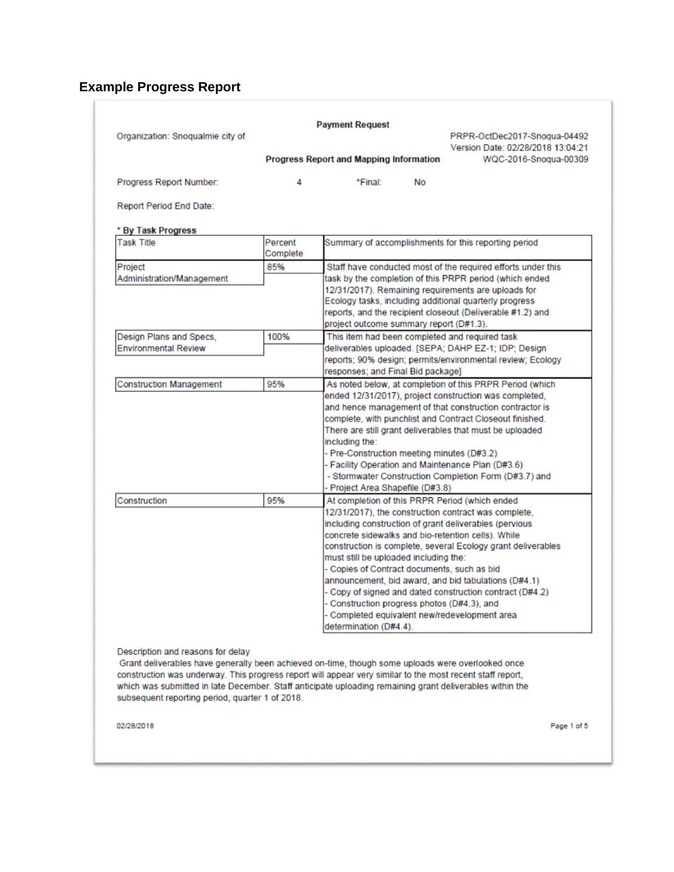# **Example Progress Report**

| Organization: Snoqualmie city of                                                                          |                     |                                                                                                            | PRPR-OctDec2017-Snogua-04492<br>Version Date: 02/28/2018 13:04:21                                      |  |
|-----------------------------------------------------------------------------------------------------------|---------------------|------------------------------------------------------------------------------------------------------------|--------------------------------------------------------------------------------------------------------|--|
|                                                                                                           |                     | <b>Progress Report and Mapping Information</b>                                                             | WQC-2016-Snoqua-00309                                                                                  |  |
| Progress Report Number:                                                                                   | 4                   | *Final:<br><b>No</b>                                                                                       |                                                                                                        |  |
| <b>Report Period End Date:</b>                                                                            |                     |                                                                                                            |                                                                                                        |  |
| * By Task Progress                                                                                        |                     |                                                                                                            |                                                                                                        |  |
| <b>Task Title</b>                                                                                         | Percent<br>Complete | Summary of accomplishments for this reporting period                                                       |                                                                                                        |  |
| Project                                                                                                   | 85%                 | Staff have conducted most of the required efforts under this                                               |                                                                                                        |  |
| Administration/Management                                                                                 |                     | task by the completion of this PRPR period (which ended                                                    |                                                                                                        |  |
|                                                                                                           |                     | 12/31/2017). Remaining requirements are uploads for                                                        |                                                                                                        |  |
|                                                                                                           |                     | Ecology tasks, including additional quarterly progress                                                     |                                                                                                        |  |
|                                                                                                           |                     | reports, and the recipient closeout (Deliverable #1.2) and<br>project outcome summary report (D#1.3).      |                                                                                                        |  |
| Design Plans and Specs,                                                                                   | 100%                |                                                                                                            |                                                                                                        |  |
| <b>Environmental Review</b>                                                                               |                     |                                                                                                            | This item had been completed and required task<br>deliverables uploaded. [SEPA; DAHP EZ-1; IDP; Design |  |
|                                                                                                           |                     | reports; 90% design; permits/environmental review; Ecology                                                 |                                                                                                        |  |
|                                                                                                           |                     | responses; and Final Bid package]                                                                          |                                                                                                        |  |
| <b>Construction Management</b>                                                                            | 95%                 | As noted below, at completion of this PRPR Period (which                                                   |                                                                                                        |  |
|                                                                                                           |                     | ended 12/31/2017), project construction was completed,                                                     |                                                                                                        |  |
|                                                                                                           |                     | and hence management of that construction contractor is                                                    |                                                                                                        |  |
|                                                                                                           |                     | complete, with punchlist and Contract Closeout finished.                                                   |                                                                                                        |  |
|                                                                                                           |                     | There are still grant deliverables that must be uploaded                                                   |                                                                                                        |  |
|                                                                                                           |                     | including the:                                                                                             |                                                                                                        |  |
|                                                                                                           |                     | - Pre-Construction meeting minutes (D#3.2)                                                                 |                                                                                                        |  |
|                                                                                                           |                     | - Facility Operation and Maintenance Plan (D#3.6)<br>- Stormwater Construction Completion Form (D#3.7) and |                                                                                                        |  |
|                                                                                                           |                     | - Project Area Shapefile (D#3.8)                                                                           |                                                                                                        |  |
| Construction                                                                                              | 95%                 | At completion of this PRPR Period (which ended                                                             |                                                                                                        |  |
|                                                                                                           |                     | 12/31/2017), the construction contract was complete,                                                       |                                                                                                        |  |
|                                                                                                           |                     | including construction of grant deliverables (pervious                                                     |                                                                                                        |  |
|                                                                                                           |                     | concrete sidewalks and bio-retention cells). While                                                         |                                                                                                        |  |
|                                                                                                           |                     | construction is complete, several Ecology grant deliverables                                               |                                                                                                        |  |
|                                                                                                           |                     | must still be uploaded including the:                                                                      |                                                                                                        |  |
|                                                                                                           |                     | - Copies of Contract documents, such as bid                                                                |                                                                                                        |  |
|                                                                                                           |                     | announcement, bid award, and bid tabulations (D#4.1)                                                       |                                                                                                        |  |
|                                                                                                           |                     | - Copy of signed and dated construction contract (D#4.2)                                                   |                                                                                                        |  |
|                                                                                                           |                     | - Construction progress photos (D#4.3), and<br>- Completed equivalent new/redevelopment area               |                                                                                                        |  |
|                                                                                                           |                     | determination (D#4.4).                                                                                     |                                                                                                        |  |
|                                                                                                           |                     |                                                                                                            |                                                                                                        |  |
| Description and reasons for delay                                                                         |                     |                                                                                                            |                                                                                                        |  |
| Grant deliverables have generally been achieved on-time, though some uploads were overlooked once         |                     |                                                                                                            |                                                                                                        |  |
| construction was underway. This progress report will appear very similar to the most recent staff report, |                     |                                                                                                            |                                                                                                        |  |

02/28/2018

Page 1 of 5